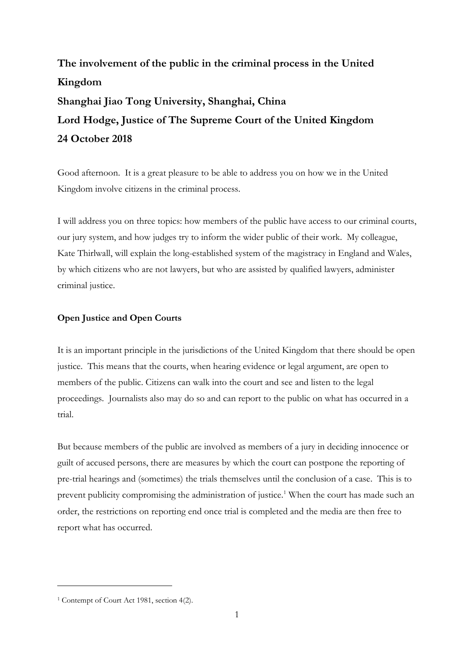# **The involvement of the public in the criminal process in the United Kingdom Shanghai Jiao Tong University, Shanghai, China Lord Hodge, Justice of The Supreme Court of the United Kingdom 24 October 2018**

Good afternoon. It is a great pleasure to be able to address you on how we in the United Kingdom involve citizens in the criminal process.

I will address you on three topics: how members of the public have access to our criminal courts, our jury system, and how judges try to inform the wider public of their work. My colleague, Kate Thirlwall, will explain the long-established system of the magistracy in England and Wales, by which citizens who are not lawyers, but who are assisted by qualified lawyers, administer criminal justice.

### **Open Justice and Open Courts**

It is an important principle in the jurisdictions of the United Kingdom that there should be open justice. This means that the courts, when hearing evidence or legal argument, are open to members of the public. Citizens can walk into the court and see and listen to the legal proceedings. Journalists also may do so and can report to the public on what has occurred in a trial.

But because members of the public are involved as members of a jury in deciding innocence or guilt of accused persons, there are measures by which the court can postpone the reporting of pre-trial hearings and (sometimes) the trials themselves until the conclusion of a case. This is to prevent publicity compromising the administration of justice.<sup>1</sup> When the court has made such an order, the restrictions on reporting end once trial is completed and the media are then free to report what has occurred.

<sup>&</sup>lt;sup>1</sup> Contempt of Court Act 1981, section 4(2).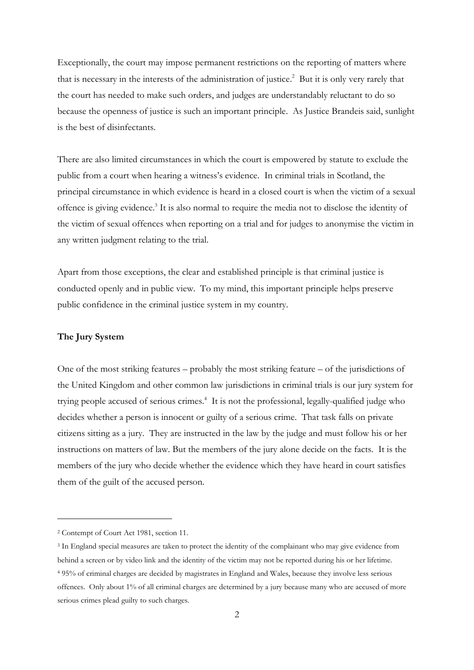Exceptionally, the court may impose permanent restrictions on the reporting of matters where that is necessary in the interests of the administration of justice. 2 But it is only very rarely that the court has needed to make such orders, and judges are understandably reluctant to do so because the openness of justice is such an important principle. As Justice Brandeis said, sunlight is the best of disinfectants.

There are also limited circumstances in which the court is empowered by statute to exclude the public from a court when hearing a witness's evidence. In criminal trials in Scotland, the principal circumstance in which evidence is heard in a closed court is when the victim of a sexual offence is giving evidence.<sup>3</sup> It is also normal to require the media not to disclose the identity of the victim of sexual offences when reporting on a trial and for judges to anonymise the victim in any written judgment relating to the trial.

Apart from those exceptions, the clear and established principle is that criminal justice is conducted openly and in public view. To my mind, this important principle helps preserve public confidence in the criminal justice system in my country.

#### **The Jury System**

One of the most striking features – probably the most striking feature – of the jurisdictions of the United Kingdom and other common law jurisdictions in criminal trials is our jury system for trying people accused of serious crimes. 4 It is not the professional, legally-qualified judge who decides whether a person is innocent or guilty of a serious crime. That task falls on private citizens sitting as a jury. They are instructed in the law by the judge and must follow his or her instructions on matters of law. But the members of the jury alone decide on the facts. It is the members of the jury who decide whether the evidence which they have heard in court satisfies them of the guilt of the accused person.

<sup>2</sup> Contempt of Court Act 1981, section 11.

<sup>3</sup> In England special measures are taken to protect the identity of the complainant who may give evidence from behind a screen or by video link and the identity of the victim may not be reported during his or her lifetime. <sup>4</sup> 95% of criminal charges are decided by magistrates in England and Wales, because they involve less serious offences. Only about 1% of all criminal charges are determined by a jury because many who are accused of more serious crimes plead guilty to such charges.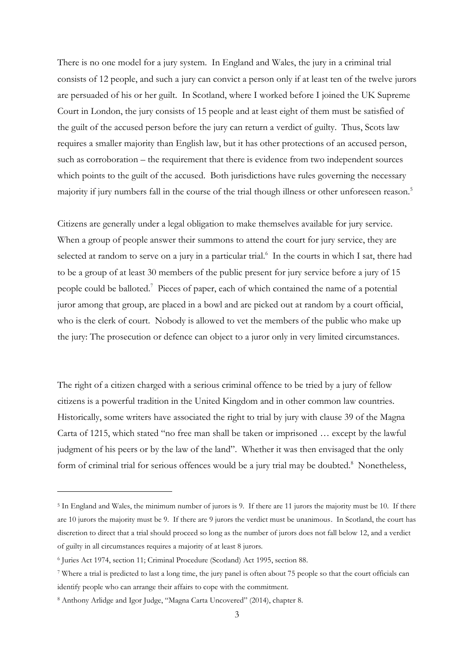There is no one model for a jury system. In England and Wales, the jury in a criminal trial consists of 12 people, and such a jury can convict a person only if at least ten of the twelve jurors are persuaded of his or her guilt. In Scotland, where I worked before I joined the UK Supreme Court in London, the jury consists of 15 people and at least eight of them must be satisfied of the guilt of the accused person before the jury can return a verdict of guilty. Thus, Scots law requires a smaller majority than English law, but it has other protections of an accused person, such as corroboration – the requirement that there is evidence from two independent sources which points to the guilt of the accused. Both jurisdictions have rules governing the necessary majority if jury numbers fall in the course of the trial though illness or other unforeseen reason.<sup>5</sup>

Citizens are generally under a legal obligation to make themselves available for jury service. When a group of people answer their summons to attend the court for jury service, they are selected at random to serve on a jury in a particular trial.<sup>6</sup> In the courts in which I sat, there had to be a group of at least 30 members of the public present for jury service before a jury of 15 people could be balloted.<sup>7</sup> Pieces of paper, each of which contained the name of a potential juror among that group, are placed in a bowl and are picked out at random by a court official, who is the clerk of court. Nobody is allowed to vet the members of the public who make up the jury: The prosecution or defence can object to a juror only in very limited circumstances.

The right of a citizen charged with a serious criminal offence to be tried by a jury of fellow citizens is a powerful tradition in the United Kingdom and in other common law countries. Historically, some writers have associated the right to trial by jury with clause 39 of the Magna Carta of 1215, which stated "no free man shall be taken or imprisoned … except by the lawful judgment of his peers or by the law of the land". Whether it was then envisaged that the only form of criminal trial for serious offences would be a jury trial may be doubted.<sup>8</sup> Nonetheless,

<sup>5</sup> In England and Wales, the minimum number of jurors is 9. If there are 11 jurors the majority must be 10. If there are 10 jurors the majority must be 9. If there are 9 jurors the verdict must be unanimous. In Scotland, the court has discretion to direct that a trial should proceed so long as the number of jurors does not fall below 12, and a verdict of guilty in all circumstances requires a majority of at least 8 jurors.

<sup>6</sup> Juries Act 1974, section 11; Criminal Procedure (Scotland) Act 1995, section 88.

<sup>7</sup> Where a trial is predicted to last a long time, the jury panel is often about 75 people so that the court officials can identify people who can arrange their affairs to cope with the commitment.

<sup>8</sup> Anthony Arlidge and Igor Judge, "Magna Carta Uncovered" (2014), chapter 8.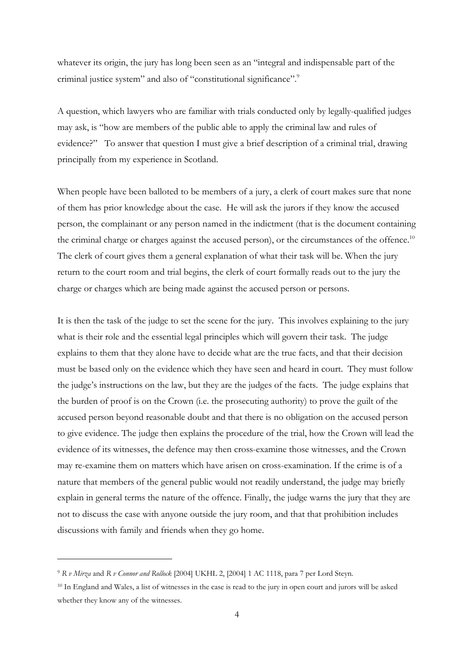whatever its origin, the jury has long been seen as an "integral and indispensable part of the criminal justice system" and also of "constitutional significance".<sup>9</sup>

A question, which lawyers who are familiar with trials conducted only by legally-qualified judges may ask, is "how are members of the public able to apply the criminal law and rules of evidence?" To answer that question I must give a brief description of a criminal trial, drawing principally from my experience in Scotland.

When people have been balloted to be members of a jury, a clerk of court makes sure that none of them has prior knowledge about the case. He will ask the jurors if they know the accused person, the complainant or any person named in the indictment (that is the document containing the criminal charge or charges against the accused person), or the circumstances of the offence.<sup>10</sup> The clerk of court gives them a general explanation of what their task will be. When the jury return to the court room and trial begins, the clerk of court formally reads out to the jury the charge or charges which are being made against the accused person or persons.

It is then the task of the judge to set the scene for the jury. This involves explaining to the jury what is their role and the essential legal principles which will govern their task. The judge explains to them that they alone have to decide what are the true facts, and that their decision must be based only on the evidence which they have seen and heard in court. They must follow the judge's instructions on the law, but they are the judges of the facts. The judge explains that the burden of proof is on the Crown (i.e. the prosecuting authority) to prove the guilt of the accused person beyond reasonable doubt and that there is no obligation on the accused person to give evidence. The judge then explains the procedure of the trial, how the Crown will lead the evidence of its witnesses, the defence may then cross-examine those witnesses, and the Crown may re-examine them on matters which have arisen on cross-examination. If the crime is of a nature that members of the general public would not readily understand, the judge may briefly explain in general terms the nature of the offence. Finally, the judge warns the jury that they are not to discuss the case with anyone outside the jury room, and that that prohibition includes discussions with family and friends when they go home.

<sup>9</sup> *R v Mirza* and *R v Connor and Rollock* [2004] UKHL 2, [2004] 1 AC 1118, para 7 per Lord Steyn.

<sup>10</sup> In England and Wales, a list of witnesses in the case is read to the jury in open court and jurors will be asked whether they know any of the witnesses.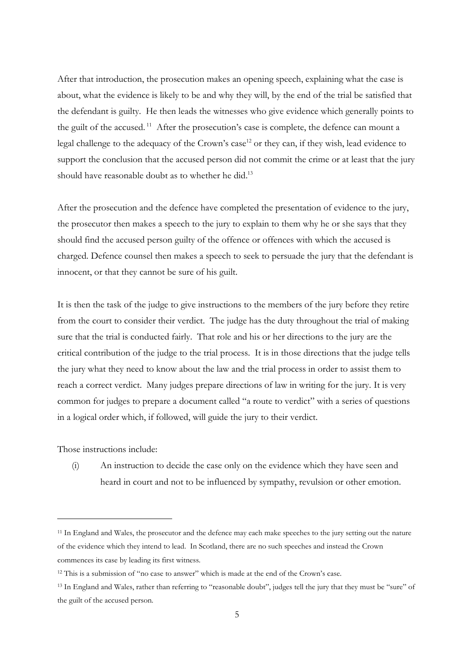After that introduction, the prosecution makes an opening speech, explaining what the case is about, what the evidence is likely to be and why they will, by the end of the trial be satisfied that the defendant is guilty. He then leads the witnesses who give evidence which generally points to the guilt of the accused.<sup>11</sup> After the prosecution's case is complete, the defence can mount a legal challenge to the adequacy of the Crown's case<sup>12</sup> or they can, if they wish, lead evidence to support the conclusion that the accused person did not commit the crime or at least that the jury should have reasonable doubt as to whether he did.<sup>13</sup>

After the prosecution and the defence have completed the presentation of evidence to the jury, the prosecutor then makes a speech to the jury to explain to them why he or she says that they should find the accused person guilty of the offence or offences with which the accused is charged. Defence counsel then makes a speech to seek to persuade the jury that the defendant is innocent, or that they cannot be sure of his guilt.

It is then the task of the judge to give instructions to the members of the jury before they retire from the court to consider their verdict. The judge has the duty throughout the trial of making sure that the trial is conducted fairly. That role and his or her directions to the jury are the critical contribution of the judge to the trial process. It is in those directions that the judge tells the jury what they need to know about the law and the trial process in order to assist them to reach a correct verdict. Many judges prepare directions of law in writing for the jury. It is very common for judges to prepare a document called "a route to verdict" with a series of questions in a logical order which, if followed, will guide the jury to their verdict.

Those instructions include:

(i) An instruction to decide the case only on the evidence which they have seen and heard in court and not to be influenced by sympathy, revulsion or other emotion.

<sup>&</sup>lt;sup>11</sup> In England and Wales, the prosecutor and the defence may each make speeches to the jury setting out the nature of the evidence which they intend to lead. In Scotland, there are no such speeches and instead the Crown commences its case by leading its first witness.

<sup>&</sup>lt;sup>12</sup> This is a submission of "no case to answer" which is made at the end of the Crown's case.

<sup>&</sup>lt;sup>13</sup> In England and Wales, rather than referring to "reasonable doubt", judges tell the jury that they must be "sure" of the guilt of the accused person.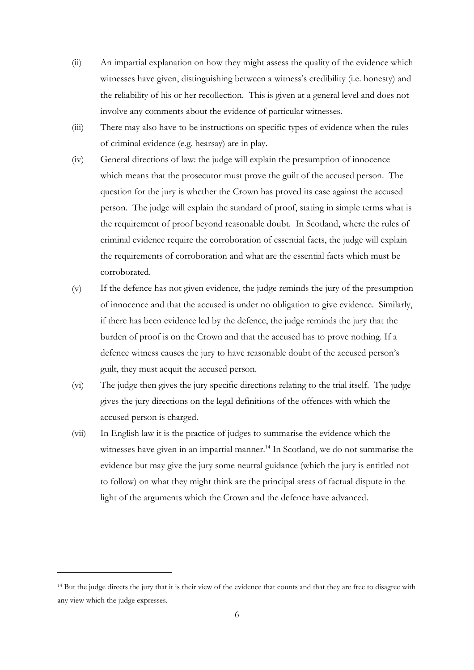- $(ii)$ An impartial explanation on how they might assess the quality of the evidence which witnesses have given, distinguishing between a witness's credibility (i.e. honesty) and the reliability of his or her recollection. This is given at a general level and does not involve any comments about the evidence of particular witnesses.
- $(iii)$ There may also have to be instructions on specific types of evidence when the rules of criminal evidence (e.g. hearsay) are in play.
- $(iv)$ General directions of law: the judge will explain the presumption of innocence which means that the prosecutor must prove the guilt of the accused person. The question for the jury is whether the Crown has proved its case against the accused person. The judge will explain the standard of proof, stating in simple terms what is the requirement of proof beyond reasonable doubt. In Scotland, where the rules of criminal evidence require the corroboration of essential facts, the judge will explain the requirements of corroboration and what are the essential facts which must be corroborated.
- (v) If the defence has not given evidence, the judge reminds the jury of the presumption of innocence and that the accused is under no obligation to give evidence. Similarly, if there has been evidence led by the defence, the judge reminds the jury that the burden of proof is on the Crown and that the accused has to prove nothing. If a defence witness causes the jury to have reasonable doubt of the accused person's guilt, they must acquit the accused person.
- $(v_i)$ The judge then gives the jury specific directions relating to the trial itself. The judge gives the jury directions on the legal definitions of the offences with which the accused person is charged.
- $(vii)$ In English law it is the practice of judges to summarise the evidence which the witnesses have given in an impartial manner.<sup>14</sup> In Scotland, we do not summarise the evidence but may give the jury some neutral guidance (which the jury is entitled not to follow) on what they might think are the principal areas of factual dispute in the light of the arguments which the Crown and the defence have advanced.

<sup>&</sup>lt;sup>14</sup> But the judge directs the jury that it is their view of the evidence that counts and that they are free to disagree with any view which the judge expresses.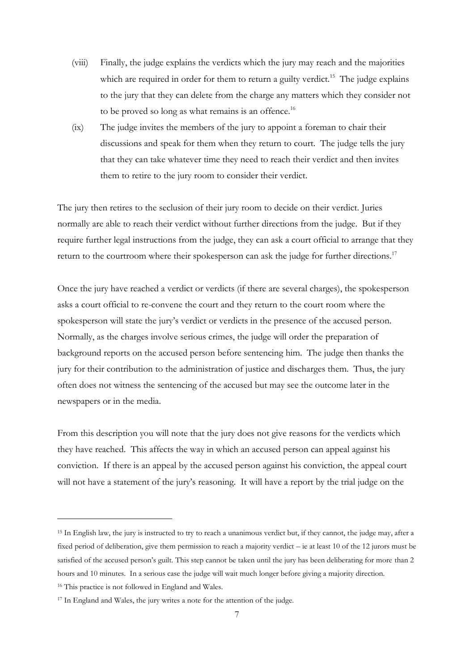- (viii) Finally, the judge explains the verdicts which the jury may reach and the majorities which are required in order for them to return a guilty verdict.<sup>15</sup> The judge explains to the jury that they can delete from the charge any matters which they consider not to be proved so long as what remains is an offence.<sup>16</sup>
- (ix) The judge invites the members of the jury to appoint a foreman to chair their discussions and speak for them when they return to court. The judge tells the jury that they can take whatever time they need to reach their verdict and then invites them to retire to the jury room to consider their verdict.

The jury then retires to the seclusion of their jury room to decide on their verdict. Juries normally are able to reach their verdict without further directions from the judge. But if they require further legal instructions from the judge, they can ask a court official to arrange that they return to the courtroom where their spokesperson can ask the judge for further directions.<sup>17</sup>

Once the jury have reached a verdict or verdicts (if there are several charges), the spokesperson asks a court official to re-convene the court and they return to the court room where the spokesperson will state the jury's verdict or verdicts in the presence of the accused person. Normally, as the charges involve serious crimes, the judge will order the preparation of background reports on the accused person before sentencing him. The judge then thanks the jury for their contribution to the administration of justice and discharges them. Thus, the jury often does not witness the sentencing of the accused but may see the outcome later in the newspapers or in the media.

From this description you will note that the jury does not give reasons for the verdicts which they have reached. This affects the way in which an accused person can appeal against his conviction. If there is an appeal by the accused person against his conviction, the appeal court will not have a statement of the jury's reasoning. It will have a report by the trial judge on the

<sup>&</sup>lt;sup>15</sup> In English law, the jury is instructed to try to reach a unanimous verdict but, if they cannot, the judge may, after a fixed period of deliberation, give them permission to reach a majority verdict – ie at least 10 of the 12 jurors must be satisfied of the accused person's guilt. This step cannot be taken until the jury has been deliberating for more than 2 hours and 10 minutes. In a serious case the judge will wait much longer before giving a majority direction.

<sup>16</sup> This practice is not followed in England and Wales.

<sup>17</sup> In England and Wales, the jury writes a note for the attention of the judge.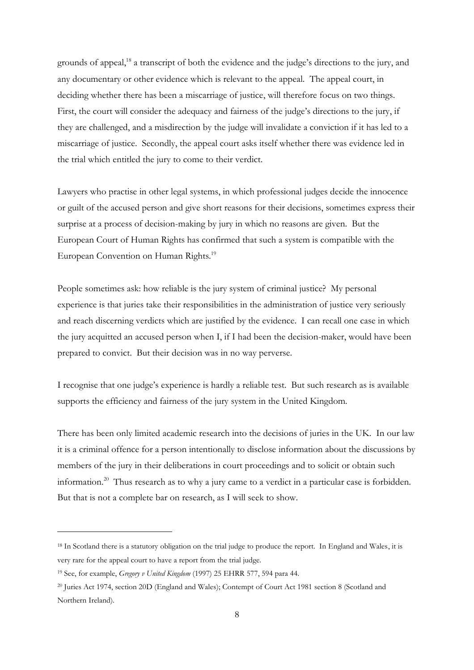grounds of appeal,<sup>18</sup> a transcript of both the evidence and the judge's directions to the jury, and any documentary or other evidence which is relevant to the appeal. The appeal court, in deciding whether there has been a miscarriage of justice, will therefore focus on two things. First, the court will consider the adequacy and fairness of the judge's directions to the jury, if they are challenged, and a misdirection by the judge will invalidate a conviction if it has led to a miscarriage of justice. Secondly, the appeal court asks itself whether there was evidence led in the trial which entitled the jury to come to their verdict.

Lawyers who practise in other legal systems, in which professional judges decide the innocence or guilt of the accused person and give short reasons for their decisions, sometimes express their surprise at a process of decision-making by jury in which no reasons are given. But the European Court of Human Rights has confirmed that such a system is compatible with the European Convention on Human Rights.<sup>19</sup>

People sometimes ask: how reliable is the jury system of criminal justice? My personal experience is that juries take their responsibilities in the administration of justice very seriously and reach discerning verdicts which are justified by the evidence. I can recall one case in which the jury acquitted an accused person when I, if I had been the decision-maker, would have been prepared to convict. But their decision was in no way perverse.

I recognise that one judge's experience is hardly a reliable test. But such research as is available supports the efficiency and fairness of the jury system in the United Kingdom.

There has been only limited academic research into the decisions of juries in the UK. In our law it is a criminal offence for a person intentionally to disclose information about the discussions by members of the jury in their deliberations in court proceedings and to solicit or obtain such information.<sup>20</sup> Thus research as to why a jury came to a verdict in a particular case is forbidden. But that is not a complete bar on research, as I will seek to show.

<sup>&</sup>lt;sup>18</sup> In Scotland there is a statutory obligation on the trial judge to produce the report. In England and Wales, it is very rare for the appeal court to have a report from the trial judge.

<sup>19</sup> See, for example, *Gregory v United Kingdom* (1997) 25 EHRR 577, 594 para 44.

<sup>20</sup> Juries Act 1974, section 20D (England and Wales); Contempt of Court Act 1981 section 8 (Scotland and Northern Ireland).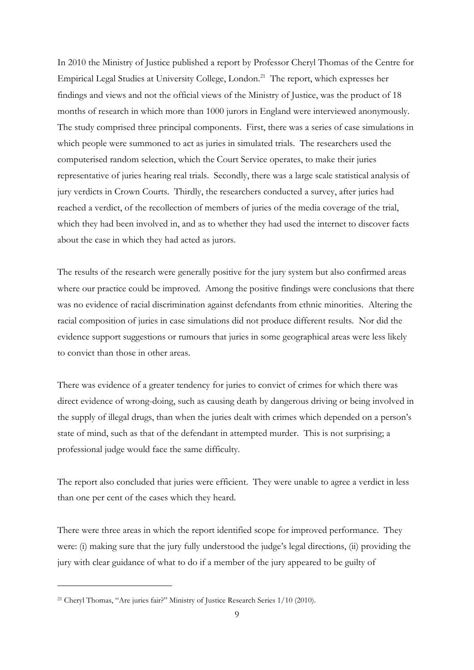In 2010 the Ministry of Justice published a report by Professor Cheryl Thomas of the Centre for Empirical Legal Studies at University College, London.<sup>21</sup> The report, which expresses her findings and views and not the official views of the Ministry of Justice, was the product of 18 months of research in which more than 1000 jurors in England were interviewed anonymously. The study comprised three principal components. First, there was a series of case simulations in which people were summoned to act as juries in simulated trials. The researchers used the computerised random selection, which the Court Service operates, to make their juries representative of juries hearing real trials. Secondly, there was a large scale statistical analysis of jury verdicts in Crown Courts. Thirdly, the researchers conducted a survey, after juries had reached a verdict, of the recollection of members of juries of the media coverage of the trial, which they had been involved in, and as to whether they had used the internet to discover facts about the case in which they had acted as jurors.

The results of the research were generally positive for the jury system but also confirmed areas where our practice could be improved. Among the positive findings were conclusions that there was no evidence of racial discrimination against defendants from ethnic minorities. Altering the racial composition of juries in case simulations did not produce different results. Nor did the evidence support suggestions or rumours that juries in some geographical areas were less likely to convict than those in other areas.

There was evidence of a greater tendency for juries to convict of crimes for which there was direct evidence of wrong-doing, such as causing death by dangerous driving or being involved in the supply of illegal drugs, than when the juries dealt with crimes which depended on a person's state of mind, such as that of the defendant in attempted murder. This is not surprising; a professional judge would face the same difficulty.

The report also concluded that juries were efficient. They were unable to agree a verdict in less than one per cent of the cases which they heard.

There were three areas in which the report identified scope for improved performance. They were: (i) making sure that the jury fully understood the judge's legal directions, (ii) providing the jury with clear guidance of what to do if a member of the jury appeared to be guilty of

<sup>21</sup> Cheryl Thomas, "Are juries fair?" Ministry of Justice Research Series 1/10 (2010).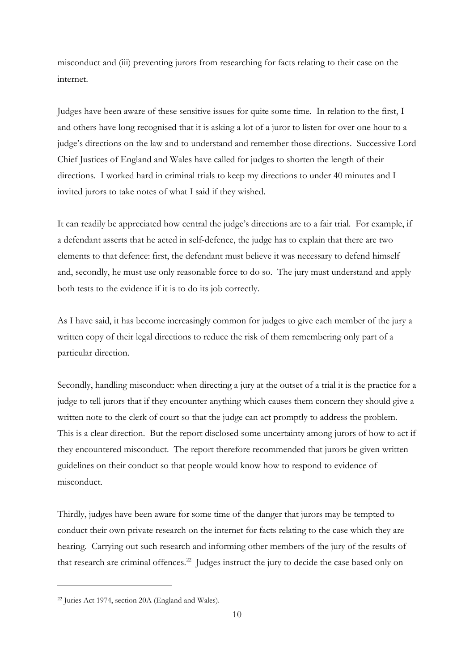misconduct and (iii) preventing jurors from researching for facts relating to their case on the internet.

Judges have been aware of these sensitive issues for quite some time. In relation to the first, I and others have long recognised that it is asking a lot of a juror to listen for over one hour to a judge's directions on the law and to understand and remember those directions. Successive Lord Chief Justices of England and Wales have called for judges to shorten the length of their directions. I worked hard in criminal trials to keep my directions to under 40 minutes and I invited jurors to take notes of what I said if they wished.

It can readily be appreciated how central the judge's directions are to a fair trial. For example, if a defendant asserts that he acted in self-defence, the judge has to explain that there are two elements to that defence: first, the defendant must believe it was necessary to defend himself and, secondly, he must use only reasonable force to do so. The jury must understand and apply both tests to the evidence if it is to do its job correctly.

As I have said, it has become increasingly common for judges to give each member of the jury a written copy of their legal directions to reduce the risk of them remembering only part of a particular direction.

Secondly, handling misconduct: when directing a jury at the outset of a trial it is the practice for a judge to tell jurors that if they encounter anything which causes them concern they should give a written note to the clerk of court so that the judge can act promptly to address the problem. This is a clear direction. But the report disclosed some uncertainty among jurors of how to act if they encountered misconduct. The report therefore recommended that jurors be given written guidelines on their conduct so that people would know how to respond to evidence of misconduct.

Thirdly, judges have been aware for some time of the danger that jurors may be tempted to conduct their own private research on the internet for facts relating to the case which they are hearing. Carrying out such research and informing other members of the jury of the results of that research are criminal offences.<sup>22</sup> Judges instruct the jury to decide the case based only on

 $\overline{a}$ 

<sup>22</sup> Juries Act 1974, section 20A (England and Wales).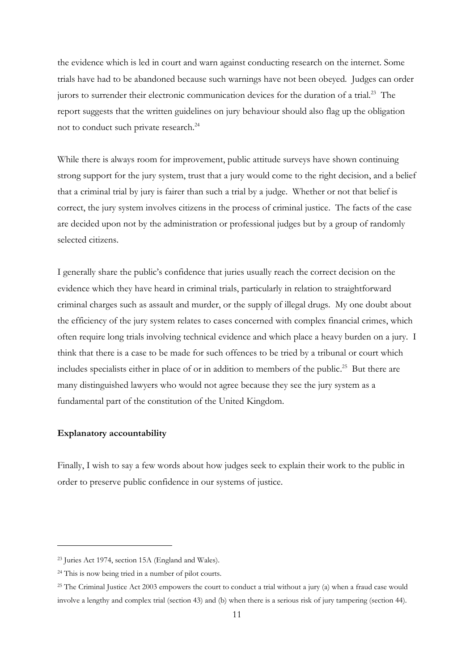the evidence which is led in court and warn against conducting research on the internet. Some trials have had to be abandoned because such warnings have not been obeyed. Judges can order jurors to surrender their electronic communication devices for the duration of a trial.<sup>23</sup> The report suggests that the written guidelines on jury behaviour should also flag up the obligation not to conduct such private research.<sup>24</sup>

While there is always room for improvement, public attitude surveys have shown continuing strong support for the jury system, trust that a jury would come to the right decision, and a belief that a criminal trial by jury is fairer than such a trial by a judge. Whether or not that belief is correct, the jury system involves citizens in the process of criminal justice. The facts of the case are decided upon not by the administration or professional judges but by a group of randomly selected citizens.

I generally share the public's confidence that juries usually reach the correct decision on the evidence which they have heard in criminal trials, particularly in relation to straightforward criminal charges such as assault and murder, or the supply of illegal drugs. My one doubt about the efficiency of the jury system relates to cases concerned with complex financial crimes, which often require long trials involving technical evidence and which place a heavy burden on a jury. I think that there is a case to be made for such offences to be tried by a tribunal or court which includes specialists either in place of or in addition to members of the public.<sup>25</sup> But there are many distinguished lawyers who would not agree because they see the jury system as a fundamental part of the constitution of the United Kingdom.

#### **Explanatory accountability**

 $\overline{a}$ 

Finally, I wish to say a few words about how judges seek to explain their work to the public in order to preserve public confidence in our systems of justice.

<sup>23</sup> Juries Act 1974, section 15A (England and Wales).

<sup>24</sup> This is now being tried in a number of pilot courts.

<sup>&</sup>lt;sup>25</sup> The Criminal Justice Act 2003 empowers the court to conduct a trial without a jury (a) when a fraud case would involve a lengthy and complex trial (section 43) and (b) when there is a serious risk of jury tampering (section 44).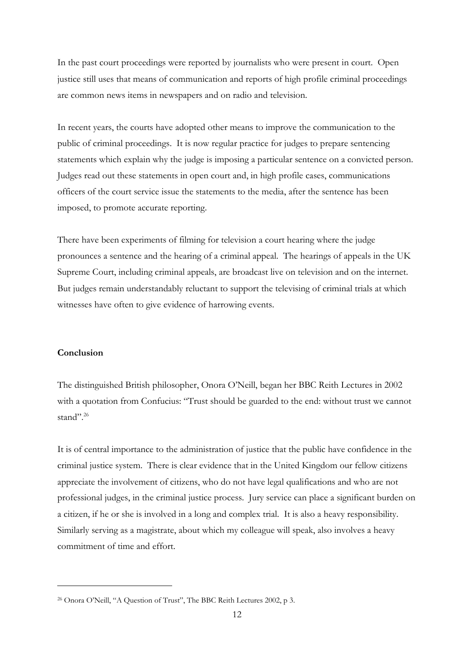In the past court proceedings were reported by journalists who were present in court. Open justice still uses that means of communication and reports of high profile criminal proceedings are common news items in newspapers and on radio and television.

In recent years, the courts have adopted other means to improve the communication to the public of criminal proceedings. It is now regular practice for judges to prepare sentencing statements which explain why the judge is imposing a particular sentence on a convicted person. Judges read out these statements in open court and, in high profile cases, communications officers of the court service issue the statements to the media, after the sentence has been imposed, to promote accurate reporting.

There have been experiments of filming for television a court hearing where the judge pronounces a sentence and the hearing of a criminal appeal. The hearings of appeals in the UK Supreme Court, including criminal appeals, are broadcast live on television and on the internet. But judges remain understandably reluctant to support the televising of criminal trials at which witnesses have often to give evidence of harrowing events.

## **Conclusion**

 $\overline{a}$ 

The distinguished British philosopher, Onora O'Neill, began her BBC Reith Lectures in 2002 with a quotation from Confucius: "Trust should be guarded to the end: without trust we cannot stand".<sup>26</sup>

It is of central importance to the administration of justice that the public have confidence in the criminal justice system. There is clear evidence that in the United Kingdom our fellow citizens appreciate the involvement of citizens, who do not have legal qualifications and who are not professional judges, in the criminal justice process. Jury service can place a significant burden on a citizen, if he or she is involved in a long and complex trial. It is also a heavy responsibility. Similarly serving as a magistrate, about which my colleague will speak, also involves a heavy commitment of time and effort.

<sup>26</sup> Onora O'Neill, "A Question of Trust", The BBC Reith Lectures 2002, p 3.